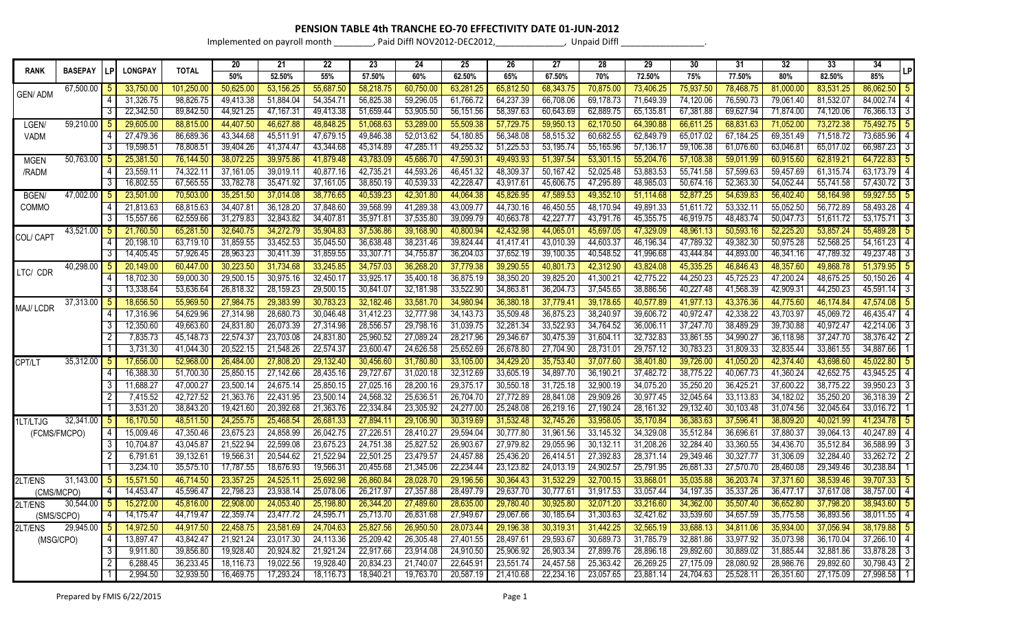## **PENSION TABLE 4th TRANCHE EO-70 EFFECTIVITY DATE 01-JUN-2012**

Implemented on payroll month \_\_\_\_\_\_\_\_\_, Paid Diffl NOV2012-DEC2012,\_\_\_\_\_\_\_\_\_\_\_\_\_\_, Unpaid Diffl \_\_\_\_\_\_\_\_\_\_\_\_\_\_\_\_\_.

|                |                |                |                |              | 20        | 21        | 22        | 23        | 24        | 25        | 26        | 27        | 28        | 29        | 30        | 31        | 32        | 33        | 34                          |
|----------------|----------------|----------------|----------------|--------------|-----------|-----------|-----------|-----------|-----------|-----------|-----------|-----------|-----------|-----------|-----------|-----------|-----------|-----------|-----------------------------|
| <b>RANK</b>    | <b>BASEPAY</b> |                | <b>LONGPAY</b> | <b>TOTAL</b> | 50%       | 52.50%    | 55%       | 57.50%    | 60%       | 62.50%    | 65%       | 67.50%    | 70%       | 72.50%    | 75%       | 77.50%    | 80%       | 82.50%    | LP<br>85%                   |
| <b>GEN/ADM</b> | 67,500.00      |                | 33,750.00      | 101,250.00   | 50,625.00 | 53,156.25 | 55,687.50 | 58,218.75 | 60,750.00 | 63,281.25 | 65,812.50 | 68,343.75 | 70,875.00 | 73,406.25 | 75,937.50 | 78,468.75 | 81,000.00 | 83,531.25 | 86,062.50<br>5              |
|                |                |                | 31,326.75      | 98,826.75    | 49,413.38 | 51,884.04 | 54,354.71 | 56,825.38 | 59,296.05 | 61,766.72 | 64,237.39 | 66,708.06 | 69,178.73 | 71,649.39 | 74,120.06 | 76,590.73 | 79,061.40 | 81,532.07 | 84,002.74                   |
|                |                |                | 22,342.50      | 89,842.50    | 44,921.25 | 47,167.31 | 49,413.38 | 51,659.44 | 53,905.50 | 56,151.56 | 58,397.63 | 60,643.69 | 62,889.75 | 65,135.81 | 67,381.88 | 69,627.94 | 71,874.00 | 74,120.06 | 76,366.13<br>$\overline{3}$ |
| LGEN/          | 59,210.00      |                | 29,605.00      | 88,815.00    | 44,407.50 | 46,627.88 | 48,848.25 | 51,068.63 | 53,289.00 | 55,509.38 | 57,729.75 | 59,950.13 | 62,170.50 | 64,390.88 | 66,611.25 | 68,831.63 | 71,052.00 | 73,272.38 | 75,492.7                    |
| <b>VADM</b>    |                |                | 27,479.36      | 86,689.36    | 43,344.68 | 45,511.9  | 47,679.15 | 49,846.38 | 52,013.62 | 54,180.85 | 56,348.08 | 58,515.32 | 60,682.55 | 62,849.79 | 65,017.02 | 67,184.25 | 69,351.49 | 71,518.72 | 73,685.96<br>4              |
|                |                |                | 19,598.51      | 78,808.5     | 39,404.26 | 41,374.47 | 43,344.68 | 45,314.89 | 47,285.11 | 49,255.32 | 51,225.53 | 53,195.74 | 55,165.96 | 57,136.17 | 59,106.38 | 61,076.60 | 63,046.81 | 65,017.02 | 66,987.23<br>3              |
| <b>MGEN</b>    | 50,763.00      |                | 25,381.50      | 76,144.50    | 38,072.25 | 39,975.86 | 41,879.48 | 43,783.09 | 45,686.70 | 47,590.3  | 49,493.93 | 51,397.54 | 53,301.15 | 55,204.76 | 57,108.38 | 59,011.99 | 60,915.60 | 62,819.2  | 64,722.83                   |
| /RADM          |                |                | 23,559.11      | 74,322.1     | 37,161.05 | 39,019.1  | 40,877.16 | 42,735.21 | 44,593.26 | 46,451.32 | 48,309.37 | 50,167.42 | 52,025.48 | 53,883.53 | 55,741.58 | 57,599.63 | 59,457.69 | 61,315.74 | 63,173.79<br>4              |
|                |                |                | 16,802.55      | 67,565.55    | 33,782.78 | 35,471.92 | 37,161.05 | 38,850.19 | 40,539.33 | 42,228.47 | 43,917.61 | 45,606.75 | 47,295.89 | 48,985.03 | 50,674.16 | 52,363.30 | 54,052.44 | 55,741.58 | 57,430.72<br>$\overline{3}$ |
| BGEN/          | $47,002.00$ 5  |                | 23,501.00      | 70,503.00    | 35,251.50 | 37,014.08 | 38,776.65 | 40,539.23 | 42,301.80 | 44,064.38 | 45,826.95 | 47,589.53 | 49,352.10 | 51,114.68 | 52,877.25 | 54,639.83 | 56,402.40 | 58,164.98 | 59,927.55                   |
| COMMO          |                |                | 21,813.63      | 68,815.63    | 34,407.81 | 36,128.20 | 37,848.60 | 39,568.99 | 41,289.38 | 43,009.77 | 44,730.16 | 46,450.55 | 48,170.94 | 49,891.33 | 51,611.72 | 53,332.11 | 55,052.50 | 56,772.89 | 58,493.28<br>4              |
|                |                |                | 15,557.66      | 62,559.66    | 31,279.83 | 32,843.82 | 34,407.81 | 35,971.8  | 37,535.80 | 39,099.79 | 40,663.78 | 42,227.77 | 43,791.76 | 45,355.75 | 46,919.75 | 48,483.74 | 50,047.73 | 51,611.72 | 53,175.71<br>3              |
| COL/ CAPT      | $43,521.00$ 5  |                | 21,760.50      | 65,281.50    | 32,640.75 | 34,272.79 | 35,904.83 | 37,536.86 | 39,168.90 | 40,800.94 | 42,432.98 | 44,065.01 | 45,697.05 | 47,329.09 | 48,961.13 | 50,593.16 | 52,225.20 | 53,857.24 | 55,489.28                   |
|                |                |                | 20,198.10      | 63,719.10    | 31,859.55 | 33,452.53 | 35,045.50 | 36,638.48 | 38,231.46 | 39,824.44 | 41,417.41 | 43,010.39 | 44,603.37 | 46,196.34 | 47,789.32 | 49,382.30 | 50,975.28 | 52,568.25 | 54, 161. 23                 |
|                |                |                | 14,405.45      | 57,926.45    | 28,963.23 | 30,411.39 | 31,859.55 | 33,307.7  | 34,755.87 | 36,204.03 | 37,652.19 | 39,100.35 | 40,548.52 | 41,996.68 | 43,444.84 | 44,893.00 | 46,341.16 | 47,789.32 | 49,237.48<br>3              |
| LTC/ CDR       | 40,298.00      |                | 20,149.00      | 60,447.00    | 30,223.50 | 31,734.68 | 33,245.85 | 34,757.03 | 36,268.20 | 37,779.38 | 39,290.55 | 40,801.73 | 42,312.90 | 43,824.08 | 45,335.25 | 46,846.43 | 48,357.60 | 49,868.78 | 51,379.95                   |
|                |                |                | 18,702.30      | 59,000.30    | 29,500.15 | 30,975.16 | 32,450.17 | 33,925.17 | 35,400.18 | 36,875.19 | 38,350.20 | 39,825.20 | 41,300.21 | 42,775.22 | 44,250.23 | 45,725.23 | 47,200.24 | 48,675.25 | 50,150.26                   |
|                |                |                | 13,338.64      | 53,636.64    | 26,818.32 | 28,159.23 | 29,500.15 | 30,841.07 | 32,181.98 | 33,522.90 | 34,863.81 | 36,204.73 | 37,545.65 | 38,886.56 | 40,227.48 | 41,568.39 | 42,909.31 | 44,250.23 | 45,591.14<br>3              |
| MAJ/LCDR       | 37,313.00      |                | 18,656.50      | 55,969.5     | 27,984.75 | 29,383.99 | 30,783.23 | 32,182.46 | 33,581.70 | 34,980.94 | 36,380.18 | 37,779.41 | 39,178.65 | 40,577.89 | 41,977.13 | 43,376.36 | 44,775.60 | 46,174.84 | 47,574.08                   |
|                |                |                | 17,316.96      | 54,629.96    | 27,314.98 | 28,680.73 | 30,046.48 | 31,412.23 | 32,777.98 | 34,143.73 | 35,509.48 | 36,875.23 | 38,240.97 | 39,606.72 | 40,972.47 | 42,338.22 | 43,703.97 | 45,069.72 | 46,435.47                   |
|                |                |                | 12,350.60      | 49,663.60    | 24,831.80 | 26,073.39 | 27,314.98 | 28,556.57 | 29,798.16 | 31,039.75 | 32,281.34 | 33,522.93 | 34,764.52 | 36,006.1  | 37,247.70 | 38,489.29 | 39,730.88 | 40,972.4  | 42,214.06<br>3              |
|                |                |                | 7,835.73       | 45,148.73    | 22,574.37 | 23,703.08 | 24,831.80 | 25,960.52 | 27,089.24 | 28,217.96 | 29,346.67 | 30,475.39 | 31,604.1  | 32,732.83 | 33,861.55 | 34,990.27 | 36,118.98 | 37,247.70 | 38,376.42                   |
|                |                |                | 3,731.30       | 41,044.30    | 20,522.15 | 21,548.26 | 22,574.37 | 23,600.47 | 24,626.58 | 25,652.69 | 26,678.80 | 27,704.90 | 28,731.0  | 29,757.12 | 30.783.23 | 31,809.33 | 32,835.44 | 33,861.55 | 34,887.66                   |
| CPT/LT         | 35,312.00      |                | 17,656.00      | 52,968.00    | 26,484.00 | 27,808.20 | 29,132.40 | 30,456.60 | 31,780.80 | 33,105.00 | 34,429.20 | 35,753.40 | 37,077.60 | 38,401.80 | 39,726.00 | 41,050.20 | 42,374.40 | 43,698.60 | 45,022.80                   |
|                |                |                | 16,388.30      | 51,700.30    | 25,850.15 | 27,142.66 | 28,435.16 | 29,727.67 | 31,020.18 | 32,312.69 | 33,605.19 | 34,897.70 | 36,190.21 | 37,482.72 | 38,775.22 | 40,067.73 | 41,360.24 | 42,652.75 | 43,945.25                   |
|                |                |                | 11,688.27      | 47,000.27    | 23,500.14 | 24,675.14 | 25,850.15 | 27,025.16 | 28,200.16 | 29,375.17 | 30,550.18 | 31,725.18 | 32,900.19 | 34,075.20 | 35,250.20 | 36,425.21 | 37,600.22 | 38,775.22 | 39,950.23                   |
|                |                |                | 7,415.52       | 42,727.52    | 21,363.76 | 22,431.95 | 23,500.14 | 24,568.32 | 25,636.5  | 26,704.70 | 27,772.89 | 28,841.08 | 29,909.26 | 30,977.45 | 32,045.64 | 33,113.83 | 34,182.02 | 35,250.20 | 36,318.39                   |
|                |                |                | 3,531.20       | 38,843.20    | 19,421.60 | 20,392.68 | 21,363.76 | 22,334.84 | 23,305.92 | 24,277.00 | 25,248.08 | 26,219.16 | 27,190.24 | 28,161.32 | 29,132.40 | 30,103.48 | 31,074.56 | 32,045.64 | 33,016.72                   |
| 1LT/LTJG       | 32,341.00      | l 5            | 16,170.50      | 48,511.50    | 24,255.75 | 25,468.54 | 26,681.33 | 27,894.1  | 29,106.90 | 30,319.69 | 31,532.48 | 32,745.26 | 33,958.05 | 35,170.84 | 36,383.63 | 37,596.41 | 38,809.20 | 40,021.99 | 41,234.78                   |
|                | (FCMS/FMCPO)   | 4              | 15,009.46      | 47,350.46    | 23.675.23 | 24.858.99 | 26,042.75 | 27,226.5  | 28,410.27 | 29,594.04 | 30,777.80 | 31,961.56 | 33,145.32 | 34,329.08 | 35.512.84 | 36,696.61 | 37,880.37 | 39,064.13 | 40,247.89                   |
|                |                |                | 10,704.87      | 43,045.87    | 21,522.94 | 22,599.08 | 23,675.23 | 24,751.38 | 25,827.52 | 26,903.67 | 27,979.82 | 29,055.96 | 30,132.1' | 31,208.26 | 32.284.40 | 33,360.55 | 34,436.70 | 35,512.84 | 36,588.99                   |
|                |                |                | 6,791.61       | 39,132.6     | 19,566.31 | 20.544.62 | 21,522.94 | 22,501.25 | 23,479.57 | 24,457.88 | 25,436.20 | 26,414.51 | 27,392.83 | 28,371.14 | 29.349.46 | 30,327.77 | 31,306.09 | 32,284.40 | 33,262.72                   |
|                |                |                | 3,234.10       | 35,575.10    | 17,787.55 | 18,676.93 | 19,566.31 | 20,455.68 | 21,345.06 | 22,234.44 | 23,123.82 | 24,013.19 | 24,902.57 | 25,791.95 | 26,681.33 | 27,570.70 | 28,460.08 | 29,349.46 | 30,238.84                   |
| 2LT/ENS        | 31,143.00      |                | 15,571.50      | 46,714.5     | 23,357.25 | 24.525.1  | 25,692.98 | 26,860.8  | 28,028.70 | 29,196.56 | 30.364.43 | 31,532.29 | 32.700.15 | 33,868.0  | 35.035.88 | 36.203.74 | 37,371.60 | 38,539.46 | 39.707.33                   |
|                | (CMS/MCPO)     | 4              | 14,453.47      | 45,596.47    | 22,798.23 | 23,938.14 | 25,078.06 | 26,217.97 | 27,357.88 | 28,497.79 | 29,637.70 | 30,777.61 | 31,917.53 | 33,057.44 | 34,197.35 | 35,337.26 | 36,477.17 | 37,617.08 | 38,757.00<br>4              |
| 2LT/ENS        | 30,544.00      | ್ರ             | 15,272.00      | 45,816.00    | 22,908.00 | 24,053.40 | 25,198.80 | 26,344.20 | 27.489.60 | 28,635.00 | 29,780.40 | 30,925.80 | 32,071.20 | 33,216.60 | 34,362.00 | 35,507.40 | 36,652.80 | 37,798.20 | 38,943.60                   |
|                | (SMS/SCPO)     | $\overline{4}$ | 14,175.47      | 44,719.4     | 22,359.74 | 23,477.72 | 24,595.71 | 25,713.70 | 26,831.68 | 27,949.67 | 29,067.66 | 30,185.64 | 31,303.63 | 32,421.62 | 33,539.60 | 34,657.59 | 35,775.58 | 36,893.56 | 38,011.55                   |
| 2LT/ENS        | 29,945.00      |                | 14,972.50      | 44,917.5     | 22,458.75 | 23,581.69 | 24,704.63 | 25,827.56 | 26,950.50 | 28,073.44 | 29,196.38 | 30,319.31 | 31,442.25 | 32,565.19 | 33,688.13 | 34,811.06 | 35,934.00 | 37,056.94 | 38,179.88                   |
|                | (MSG/CPO)      |                | 13,897.47      | 43,842.4     | 21,921.24 | 23,017.30 | 24,113.36 | 25,209.42 | 26,305.48 | 27,401.55 | 28,497.61 | 29,593.67 | 30,689.73 | 31,785.79 | 32,881.86 | 33,977.92 | 35,073.98 | 36,170.04 | 37,266.10                   |
|                |                |                | 9,911.80       | 39,856.80    | 19,928.40 | 20,924.82 | 21,921.24 | 22,917.66 | 23,914.08 | 24.910.50 | 25,906.92 | 26,903.34 | 27,899.76 | 28,896.18 | 29,892.60 | 30,889.02 | 31,885.44 | 32,881.86 | 33,878.28<br>3              |
|                |                |                | 6,288.45       | 36,233.45    | 18,116.73 | 19.022.56 | 19,928.40 | 20,834.23 | 21,740.07 | 22,645.9  | 23,551.74 | 24,457.58 | 25,363.42 | 26,269.25 | 27.175.09 | 28,080.92 | 28,986.76 | 29,892.60 | 30,798.43                   |
|                |                |                | 2,994.50       | 32,939.50    | 16,469.75 | 17,293.24 | 18,116.73 | 18,940.21 | 19,763.70 | 20,587.19 | 21,410.68 | 22,234.16 | 23,057.65 | 23,881.14 | 24,704.63 | 25,528.11 | 26,351.60 | 27,175.09 | 27,998.58                   |